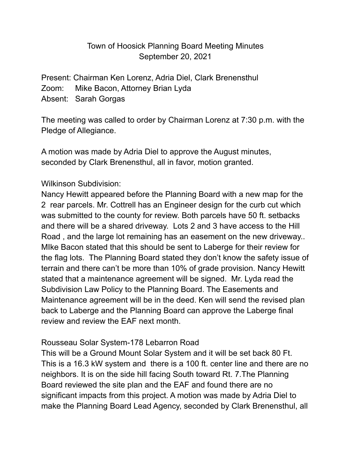### Town of Hoosick Planning Board Meeting Minutes September 20, 2021

Present: Chairman Ken Lorenz, Adria Diel, Clark Brenensthul Zoom: Mike Bacon, Attorney Brian Lyda Absent: Sarah Gorgas

The meeting was called to order by Chairman Lorenz at 7:30 p.m. with the Pledge of Allegiance.

A motion was made by Adria Diel to approve the August minutes, seconded by Clark Brenensthul, all in favor, motion granted.

#### Wilkinson Subdivision:

Nancy Hewitt appeared before the Planning Board with a new map for the 2 rear parcels. Mr. Cottrell has an Engineer design for the curb cut which was submitted to the county for review. Both parcels have 50 ft. setbacks and there will be a shared driveway. Lots 2 and 3 have access to the Hill Road , and the large lot remaining has an easement on the new driveway.. MIke Bacon stated that this should be sent to Laberge for their review for the flag lots. The Planning Board stated they don't know the safety issue of terrain and there can't be more than 10% of grade provision. Nancy Hewitt stated that a maintenance agreement will be signed. Mr. Lyda read the Subdivision Law Policy to the Planning Board. The Easements and Maintenance agreement will be in the deed. Ken will send the revised plan back to Laberge and the Planning Board can approve the Laberge final review and review the EAF next month.

#### Rousseau Solar System-178 Lebarron Road

This will be a Ground Mount Solar System and it will be set back 80 Ft. This is a 16.3 kW system and there is a 100 ft. center line and there are no neighbors. It is on the side hill facing South toward Rt. 7.The Planning Board reviewed the site plan and the EAF and found there are no significant impacts from this project. A motion was made by Adria Diel to make the Planning Board Lead Agency, seconded by Clark Brenensthul, all